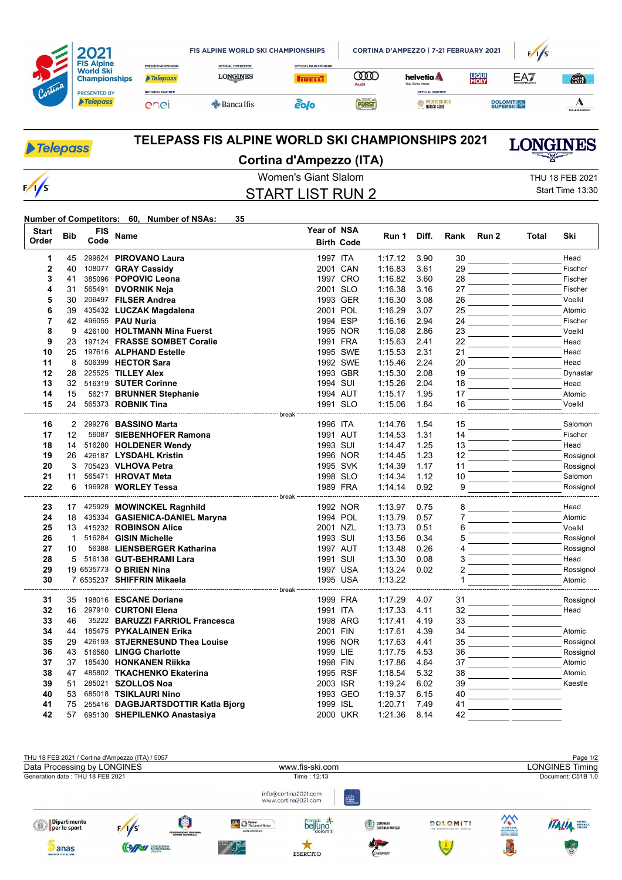| Cortina |                                                               |                                              | <b>FIS ALPINE WORLD SKI CHAMPIONSHIPS</b>     |                                              |                    | CORTINA D'AMPEZZO   7-21 FEBRUARY 2021                        | F/1/S                |                 |                  |
|---------|---------------------------------------------------------------|----------------------------------------------|-----------------------------------------------|----------------------------------------------|--------------------|---------------------------------------------------------------|----------------------|-----------------|------------------|
|         | <b>FIS Alpine</b><br><b>World Ski</b><br><b>Championships</b> | <b>PRESENTING SPONSOR</b><br><b>Telepass</b> | <b>OFFICIAL TIMEKEEPER</b><br><b>LONGINES</b> | <b>OFFICIAL MAIN SPONSOR</b><br><b>TRELL</b> | <b>TOO</b><br>Audi | helvetia <b>A</b><br>Your Swiss Insurer                       | <b>LIQUI</b><br>MOLY | EAT             | <b>CATA</b>      |
|         | <b>PRESENTED BY</b><br>Telepass                               | <b>NATIONAL PARTNER</b><br>enei              | $\triangle$ Banca Ifis                        | eo/o                                         | FORST              | OFFICIAL PARTNER<br><b>ROSECCO DOC</b><br><b>TALIAN GENIO</b> |                      | <b>DOLOMITI</b> | THE ADECCO GROUP |

| Telepass      | <b>TELEPASS FIS ALPINE WORLD SKI CHAMPIONSHIPS 2021</b> | <b>LONGINES</b>  |  |  |
|---------------|---------------------------------------------------------|------------------|--|--|
|               | Cortina d'Ampezzo (ITA)                                 |                  |  |  |
|               | Women's Giant Slalom                                    | THU 18 FEB 2021  |  |  |
| $\frac{1}{s}$ | START LIST RUN 2                                        | Start Time 13:30 |  |  |

## **Number of Competitors: 60, Number of NSAs: 35**

| <b>Start</b>   | <b>Bib</b>        | FIS  | Name                                               | Year of NSA |                   | Run 1              | Diff.        | Rank     | Run 2 | Total | Ski                |
|----------------|-------------------|------|----------------------------------------------------|-------------|-------------------|--------------------|--------------|----------|-------|-------|--------------------|
| Order          |                   | Code |                                                    |             | <b>Birth Code</b> |                    |              |          |       |       |                    |
| 1              | 45                |      | 299624 PIROVANO Laura                              | 1997 ITA    |                   | 1:17.12            | 3.90         | 30       |       |       | Head               |
| $\overline{2}$ | 40                |      | 108077 GRAY Cassidy                                |             | 2001 CAN          | 1:16.83            | 3.61         | 29       |       |       | Fischer            |
| 3              | 41                |      | 385096 POPOVIC Leona                               |             | 1997 CRO          | 1:16.82            | 3.60         | 28       |       |       | Fischer            |
| 4              | 31                |      | 565491 DVORNIK Neja                                |             | 2001 SLO          | 1:16.38            | 3.16         | 27       |       |       | Fischer            |
| 5              | 30                |      | 206497 FILSER Andrea                               |             | 1993 GER          | 1:16.30            | 3.08         | 26       |       |       | Voelkl             |
| 6              | 39                |      | 435432 LUCZAK Magdalena                            |             | 2001 POL          | 1:16.29            | 3.07         | 25       |       |       | Atomic             |
| $\overline{7}$ | 42                |      | 496055 PAU Nuria                                   |             | 1994 ESP          | 1:16.16            | 2.94         | 24       |       |       | Fischer            |
| 8              | 9                 |      | 426100 HOLTMANN Mina Fuerst                        |             | 1995 NOR          | 1:16.08            | 2.86         | 23       |       |       | Voelkl             |
| 9              | 23                |      | 197124 FRASSE SOMBET Coralie                       |             | 1991 FRA          | 1:15.63            | 2.41         | 22       |       |       | Head               |
| 10             | 25                |      | 197616 ALPHAND Estelle                             |             | 1995 SWE          | 1:15.53            | 2.31         | 21       |       |       | Head               |
| 11             | 8                 |      | 506399 HECTOR Sara                                 |             | 1992 SWE          | 1:15.46            | 2.24         | 20       |       |       | Head               |
| 12             | 28                |      | 225525 TILLEY Alex                                 |             | 1993 GBR          | 1:15.30            | 2.08         | 19       |       |       | Dynastar           |
| 13             | 32                |      | 516319 SUTER Corinne                               | 1994 SUI    |                   | 1:15.26            | 2.04         | 18       |       |       | Head               |
| 14             | 15                |      | 56217 BRUNNER Stephanie                            |             | 1994 AUT          | 1:15.17            | 1.95         | 17       |       |       | Atomic             |
| 15             | 24                |      | 565373 ROBNIK Tina                                 |             | 1991 SLO          | 1:15.06            | 1.84         | 16       |       |       | Voelkl             |
|                |                   |      |                                                    |             |                   |                    |              |          |       |       |                    |
| 16<br>17       | $12 \overline{ }$ |      | 2 299276 BASSINO Marta<br>56087 SIEBENHOFER Ramona | 1996 ITA    | 1991 AUT          | 1:14.76<br>1:14.53 | 1.54<br>1.31 | 15<br>14 |       |       | Salomon<br>Fischer |
| 18             | 14                |      |                                                    | 1993 SUI    |                   | 1:14.47            | 1.25         | 13       |       |       | Head               |
| 19             | 26                |      | 516280 HOLDENER Wendy<br>426187 LYSDAHL Kristin    |             | 1996 NOR          | 1:14.45            | 1.23         | 12       |       |       | Rossignol          |
| 20             | 3                 |      | 705423 VLHOVA Petra                                |             | 1995 SVK          | 1:14.39            | 1.17         | 11       |       |       | Rossignol          |
| 21             | 11                |      | 565471 HROVAT Meta                                 |             | 1998 SLO          | 1:14.34            | 1.12         | 10       |       |       | Salomon            |
| 22             |                   |      | 6 196928 WORLEY Tessa                              |             | 1989 FRA          | 1:14.14            | 0.92         | 9        |       |       | Rossignol          |
|                |                   |      |                                                    |             |                   |                    |              |          |       |       |                    |
| 23             |                   |      | 17 425929 MOWINCKEL Ragnhild                       |             | 1992 NOR          | 1:13.97            | 0.75         | 8        |       |       | Head               |
| 24             | 18                |      | 435334 GASIENICA-DANIEL Maryna                     |             | 1994 POL          | 1:13.79            | 0.57         | 7        |       |       | Atomic             |
| 25             |                   |      | 13 415232 ROBINSON Alice                           | 2001 NZL    |                   | 1:13.73            | 0.51         | 6        |       |       | Voelkl             |
| 26             | $\mathbf{1}$      |      | 516284 GISIN Michelle                              | 1993 SUI    |                   | 1:13.56            | 0.34         | 5        |       |       | Rossignol          |
| 27             | 10                |      | 56388 LIENSBERGER Katharina                        |             | 1997 AUT          | 1:13.48            | 0.26         | 4        |       |       | Rossignol          |
| 28             | 5                 |      | 516138 GUT-BEHRAMI Lara                            | 1991 SUI    |                   | 1:13.30            | 0.08         | 3        |       |       | Head               |
| 29             |                   |      | 19 6535773 O BRIEN Nina                            |             | 1997 USA          | 1:13.24            | 0.02         |          |       |       | Rossignol          |
| 30             |                   |      | 7 6535237 SHIFFRIN Mikaela                         |             | 1995 USA          | 1:13.22            |              |          |       |       | Atomic             |
| 31             | 35                |      | 198016 ESCANE Doriane                              |             | 1999 FRA          | 1:17.29            | 4.07         | 31       |       |       | Rossignol          |
| 32             | 16                |      | 297910 CURTONI Elena                               | 1991 ITA    |                   | 1:17.33            | 4.11         | 32       |       |       | Head               |
| 33             | 46                |      | 35222 BARUZZI FARRIOL Francesca                    |             | 1998 ARG          | 1:17.41            | 4.19         | 33       |       |       |                    |
| 34             | 44                |      | 185475 PYKALAINEN Erika                            | 2001 FIN    |                   | 1:17.61            | 4.39         | 34       |       |       | Atomic             |
| 35             | 29                |      | 426193 STJERNESUND Thea Louise                     |             | 1996 NOR          | 1:17.63            | 4.41         | 35       |       |       | Rossignol          |
| 36             | 43                |      | 516560 LINGG Charlotte                             | 1999 LIE    |                   | 1:17.75            | 4.53         | 36       |       |       | Rossignol          |
| 37             | 37                |      | 185430 HONKANEN Riikka                             | 1998 FIN    |                   | 1:17.86            | 4.64         | 37       |       |       | Atomic             |
| 38             | 47                |      | 485802 TKACHENKO Ekaterina                         |             | 1995 RSF          | 1:18.54            | 5.32         | 38       |       |       | Atomic             |
| 39             | 51                |      | 285021 SZOLLOS Noa                                 | 2003 ISR    |                   | 1:19.24            | 6.02         | 39       |       |       | Kaestle            |
| 40             | 53                |      | 685018 TSIKLAURI Nino                              |             | 1993 GEO          | 1:19.37            | 6.15         | 40       |       |       |                    |
| 41             | 75                |      | 255416 DAGBJARTSDOTTIR Katla Bjorg                 | 1999 ISL    |                   | 1:20.71            | 7.49         | 41       |       |       |                    |
| 42             | 57                |      | 695130 SHEPILENKO Anastasiya                       |             | 2000 UKR          | 1:21.36            | 8.14         | 42       |       |       |                    |
|                |                   |      |                                                    |             |                   |                    |              |          |       |       |                    |